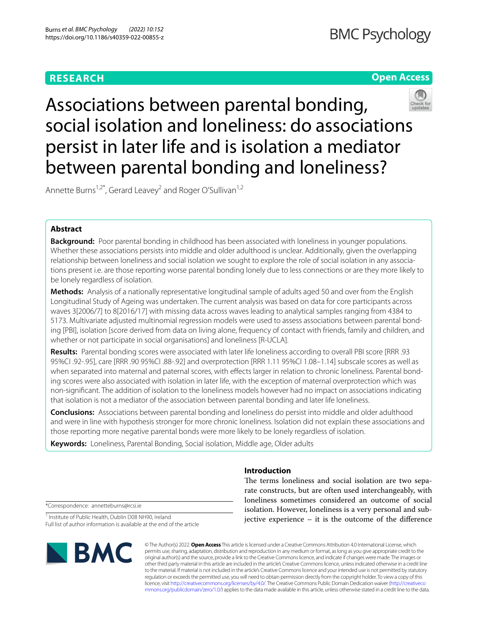# **RESEARCH**

# **Open Access**



Associations between parental bonding, social isolation and loneliness: do associations persist in later life and is isolation a mediator between parental bonding and loneliness?

Annette Burns<sup>1,2\*</sup>, Gerard Leavey<sup>2</sup> and Roger O'Sullivan<sup>1,2</sup>

# **Abstract**

**Background:** Poor parental bonding in childhood has been associated with loneliness in younger populations. Whether these associations persists into middle and older adulthood is unclear. Additionally, given the overlapping relationship between loneliness and social isolation we sought to explore the role of social isolation in any associations present i.e. are those reporting worse parental bonding lonely due to less connections or are they more likely to be lonely regardless of isolation.

**Methods:** Analysis of a nationally representative longitudinal sample of adults aged 50 and over from the English Longitudinal Study of Ageing was undertaken. The current analysis was based on data for core participants across waves 3[2006/7] to 8[2016/17] with missing data across waves leading to analytical samples ranging from 4384 to 5173. Multivariate adjusted multinomial regression models were used to assess associations between parental bonding [PBI], isolation [score derived from data on living alone, frequency of contact with friends, family and children, and whether or not participate in social organisations] and loneliness [R-UCLA].

**Results:** Parental bonding scores were associated with later life loneliness according to overall PBI score [RRR .93 95%CI .92-.95], care [RRR .90 95%CI .88-.92] and overprotection [RRR 1.11 95%CI 1.08–1.14] subscale scores as well as when separated into maternal and paternal scores, with effects larger in relation to chronic loneliness. Parental bonding scores were also associated with isolation in later life, with the exception of maternal overprotection which was non-signifcant. The addition of isolation to the loneliness models however had no impact on associations indicating that isolation is not a mediator of the association between parental bonding and later life loneliness.

**Conclusions:** Associations between parental bonding and loneliness do persist into middle and older adulthood and were in line with hypothesis stronger for more chronic loneliness. Isolation did not explain these associations and those reporting more negative parental bonds were more likely to be lonely regardless of isolation.

**Keywords:** Loneliness, Parental Bonding, Social isolation, Middle age, Older adults

# **Introduction**

The terms loneliness and social isolation are two separate constructs, but are often used interchangeably, with loneliness sometimes considered an outcome of social isolation. However, loneliness is a very personal and subjective experience – it is the outcome of the diference

\*Correspondence: annetteburns@rcsi.ie

<sup>1</sup> Institute of Public Health, Dublin D08 NH90, Ireland Full list of author information is available at the end of the article



© The Author(s) 2022. **Open Access** This article is licensed under a Creative Commons Attribution 4.0 International License, which permits use, sharing, adaptation, distribution and reproduction in any medium or format, as long as you give appropriate credit to the original author(s) and the source, provide a link to the Creative Commons licence, and indicate if changes were made. The images or other third party material in this article are included in the article's Creative Commons licence, unless indicated otherwise in a credit line to the material. If material is not included in the article's Creative Commons licence and your intended use is not permitted by statutory regulation or exceeds the permitted use, you will need to obtain permission directly from the copyright holder. To view a copy of this licence, visit [http://creativecommons.org/licenses/by/4.0/.](http://creativecommons.org/licenses/by/4.0/) The Creative Commons Public Domain Dedication waiver ([http://creativeco](http://creativecommons.org/publicdomain/zero/1.0/) [mmons.org/publicdomain/zero/1.0/](http://creativecommons.org/publicdomain/zero/1.0/)) applies to the data made available in this article, unless otherwise stated in a credit line to the data.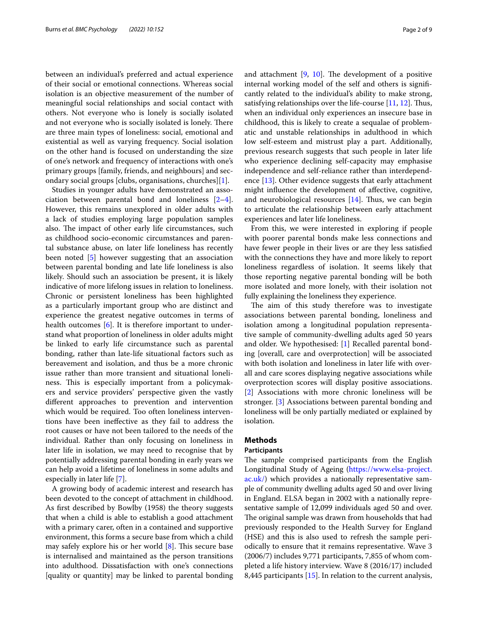between an individual's preferred and actual experience of their social or emotional connections. Whereas social isolation is an objective measurement of the number of meaningful social relationships and social contact with others. Not everyone who is lonely is socially isolated and not everyone who is socially isolated is lonely. There are three main types of loneliness: social, emotional and existential as well as varying frequency. Social isolation on the other hand is focused on understanding the size of one's network and frequency of interactions with one's primary groups [family, friends, and neighbours] and secondary social groups [clubs, organisations, churches][[1\]](#page-8-0).

Studies in younger adults have demonstrated an association between parental bond and loneliness [\[2](#page-8-1)[–4](#page-8-2)]. However, this remains unexplored in older adults with a lack of studies employing large population samples also. The impact of other early life circumstances, such as childhood socio-economic circumstances and parental substance abuse, on later life loneliness has recently been noted [[5\]](#page-8-3) however suggesting that an association between parental bonding and late life loneliness is also likely. Should such an association be present, it is likely indicative of more lifelong issues in relation to loneliness. Chronic or persistent loneliness has been highlighted as a particularly important group who are distinct and experience the greatest negative outcomes in terms of health outcomes [[6\]](#page-8-4). It is therefore important to understand what proportion of loneliness in older adults might be linked to early life circumstance such as parental bonding, rather than late-life situational factors such as bereavement and isolation, and thus be a more chronic issue rather than more transient and situational loneliness. This is especially important from a policymakers and service providers' perspective given the vastly diferent approaches to prevention and intervention which would be required. Too often loneliness interventions have been inefective as they fail to address the root causes or have not been tailored to the needs of the individual. Rather than only focusing on loneliness in later life in isolation, we may need to recognise that by potentially addressing parental bonding in early years we can help avoid a lifetime of loneliness in some adults and especially in later life [[7\]](#page-8-5).

A growing body of academic interest and research has been devoted to the concept of attachment in childhood. As frst described by Bowlby (1958) the theory suggests that when a child is able to establish a good attachment with a primary carer, often in a contained and supportive environment, this forms a secure base from which a child may safely explore his or her world  $[8]$  $[8]$ . This secure base is internalised and maintained as the person transitions into adulthood. Dissatisfaction with one's connections [quality or quantity] may be linked to parental bonding and attachment  $[9, 10]$  $[9, 10]$  $[9, 10]$  $[9, 10]$  $[9, 10]$ . The development of a positive internal working model of the self and others is signifcantly related to the individual's ability to make strong, satisfying relationships over the life-course [\[11](#page-8-9), [12](#page-8-10)]. Thus, when an individual only experiences an insecure base in childhood, this is likely to create a sequalae of problematic and unstable relationships in adulthood in which low self-esteem and mistrust play a part. Additionally, previous research suggests that such people in later life who experience declining self-capacity may emphasise independence and self-reliance rather than interdependence [\[13](#page-8-11)]. Other evidence suggests that early attachment might infuence the development of afective, cognitive, and neurobiological resources  $[14]$ . Thus, we can begin to articulate the relationship between early attachment experiences and later life loneliness.

From this, we were interested in exploring if people with poorer parental bonds make less connections and have fewer people in their lives or are they less satisfed with the connections they have and more likely to report loneliness regardless of isolation. It seems likely that those reporting negative parental bonding will be both more isolated and more lonely, with their isolation not fully explaining the loneliness they experience.

The aim of this study therefore was to investigate associations between parental bonding, loneliness and isolation among a longitudinal population representative sample of community-dwelling adults aged 50 years and older. We hypothesised: [\[1\]](#page-8-0) Recalled parental bonding [overall, care and overprotection] will be associated with both isolation and loneliness in later life with overall and care scores displaying negative associations while overprotection scores will display positive associations. [[2\]](#page-8-1) Associations with more chronic loneliness will be stronger. [[3\]](#page-8-13) Associations between parental bonding and loneliness will be only partially mediated or explained by isolation.

# **Methods**

## **Participants**

The sample comprised participants from the English Longitudinal Study of Ageing ([https://www.elsa-project.](https://www.elsa-project.ac.uk/) [ac.uk/\)](https://www.elsa-project.ac.uk/) which provides a nationally representative sample of community dwelling adults aged 50 and over living in England. ELSA began in 2002 with a nationally representative sample of 12,099 individuals aged 50 and over. The original sample was drawn from households that had previously responded to the Health Survey for England (HSE) and this is also used to refresh the sample periodically to ensure that it remains representative. Wave 3 (2006/7) includes 9,771 participants, 7,855 of whom completed a life history interview. Wave 8 (2016/17) included 8,445 participants [\[15](#page-8-14)]. In relation to the current analysis,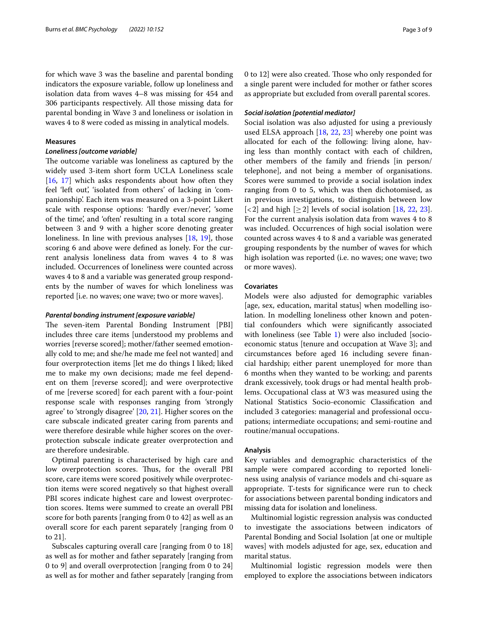for which wave 3 was the baseline and parental bonding indicators the exposure variable, follow up loneliness and isolation data from waves 4–8 was missing for 454 and 306 participants respectively. All those missing data for parental bonding in Wave 3 and loneliness or isolation in waves 4 to 8 were coded as missing in analytical models.

# **Measures**

## *Loneliness [outcome variable]*

The outcome variable was loneliness as captured by the widely used 3-item short form UCLA Loneliness scale [[16,](#page-8-15) [17\]](#page-8-16) which asks respondents about how often they feel 'left out', 'isolated from others' of lacking in 'companionship'. Each item was measured on a 3-point Likert scale with response options: 'hardly ever/never', 'some of the time', and 'often' resulting in a total score ranging between 3 and 9 with a higher score denoting greater loneliness. In line with previous analyses [\[18](#page-8-17), [19\]](#page-8-18), those scoring 6 and above were defned as lonely. For the current analysis loneliness data from waves 4 to 8 was included. Occurrences of loneliness were counted across waves 4 to 8 and a variable was generated group respondents by the number of waves for which loneliness was reported [i.e. no waves; one wave; two or more waves].

## *Parental bonding instrument [exposure variable]*

The seven-item Parental Bonding Instrument [PBI] includes three care items [understood my problems and worries [reverse scored]; mother/father seemed emotionally cold to me; and she/he made me feel not wanted] and four overprotection items [let me do things I liked; liked me to make my own decisions; made me feel dependent on them [reverse scored]; and were overprotective of me [reverse scored] for each parent with a four-point response scale with responses ranging from 'strongly agree' to 'strongly disagree' [[20,](#page-8-19) [21](#page-8-20)]. Higher scores on the care subscale indicated greater caring from parents and were therefore desirable while higher scores on the overprotection subscale indicate greater overprotection and are therefore undesirable.

Optimal parenting is characterised by high care and low overprotection scores. Thus, for the overall PBI score, care items were scored positively while overprotection items were scored negatively so that highest overall PBI scores indicate highest care and lowest overprotection scores. Items were summed to create an overall PBI score for both parents [ranging from 0 to 42] as well as an overall score for each parent separately [ranging from 0 to 21].

Subscales capturing overall care [ranging from 0 to 18] as well as for mother and father separately [ranging from 0 to 9] and overall overprotection [ranging from 0 to 24] as well as for mother and father separately [ranging from 0 to 12] were also created. Those who only responded for a single parent were included for mother or father scores as appropriate but excluded from overall parental scores.

## *Social isolation [potential mediator]*

Social isolation was also adjusted for using a previously used ELSA approach [\[18,](#page-8-17) [22,](#page-8-21) [23\]](#page-8-22) whereby one point was allocated for each of the following: living alone, having less than monthly contact with each of children, other members of the family and friends [in person/ telephone], and not being a member of organisations. Scores were summed to provide a social isolation index ranging from 0 to 5, which was then dichotomised, as in previous investigations, to distinguish between low  $\lfloor$  < 2] and high  $\lfloor$   $\geq$  2] levels of social isolation  $\lfloor$  [18,](#page-8-17) [22,](#page-8-21) [23](#page-8-22)]. For the current analysis isolation data from waves 4 to 8 was included. Occurrences of high social isolation were counted across waves 4 to 8 and a variable was generated grouping respondents by the number of waves for which high isolation was reported (i.e. no waves; one wave; two or more waves).

# **Covariates**

Models were also adjusted for demographic variables [age, sex, education, marital status] when modelling isolation. In modelling loneliness other known and potential confounders which were signifcantly associated with loneliness (see Table [1](#page-3-0)) were also included [socioeconomic status [tenure and occupation at Wave 3]; and circumstances before aged 16 including severe fnancial hardship; either parent unemployed for more than 6 months when they wanted to be working; and parents drank excessively, took drugs or had mental health problems. Occupational class at W3 was measured using the National Statistics Socio-economic Classifcation and included 3 categories: managerial and professional occupations; intermediate occupations; and semi-routine and routine/manual occupations.

## **Analysis**

Key variables and demographic characteristics of the sample were compared according to reported loneliness using analysis of variance models and chi-square as appropriate. T-tests for signifcance were run to check for associations between parental bonding indicators and missing data for isolation and loneliness.

Multinomial logistic regression analysis was conducted to investigate the associations between indicators of Parental Bonding and Social Isolation [at one or multiple waves] with models adjusted for age, sex, education and marital status.

Multinomial logistic regression models were then employed to explore the associations between indicators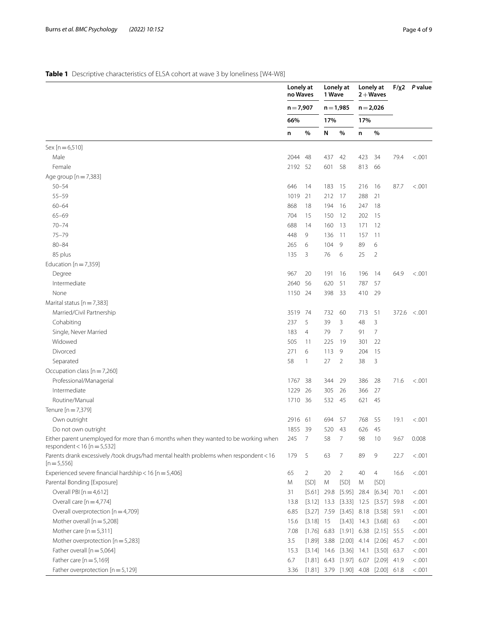# <span id="page-3-0"></span>**Table 1** Descriptive characteristics of ELSA cohort at wave 3 by loneliness [W4-W8]

| $n = 7,907$<br>$n = 1,985$<br>$n = 2,026$<br>66%<br>17%<br>17%<br>%<br>%<br>%<br>N<br>n<br>n<br>$Sex [n = 6, 510]$<br>Male<br>2044<br>437<br>42<br>423<br>34<br>79.4<br>< 0.001<br>48<br>Female<br>2192<br>58<br>813<br>52<br>601<br>66<br>Age group $[n = 7,383]$<br>$50 - 54$<br>646<br>14<br>183<br>15<br>16<br>87.7<br>< 0.001<br>216<br>$55 - 59$<br>1019<br>21<br>288<br>21<br>212<br>17<br>$60 - 64$<br>868<br>18<br>194<br>16<br>247<br>18<br>$65 - 69$<br>12<br>202<br>15<br>704<br>15<br>150<br>$70 - 74$<br>688<br>13<br>12<br>160<br>171<br>14<br>$75 - 79$<br>448<br>9<br>136<br>-11<br>157<br>11<br>$80 - 84$<br>9<br>6<br>265<br>6<br>104<br>89<br>85 plus<br>$\overline{2}$<br>135<br>76<br>6<br>25<br>3<br>Education $[n = 7,359]$<br>967<br>Degree<br>20<br>191<br>16<br>196<br>14<br>64.9<br>< 0.001<br>2640<br>Intermediate<br>56<br>620<br>51<br>787<br>57<br>None<br>1150<br>24<br>398<br>33<br>410<br>29<br>Marital status [n = 7,383]<br>Married/Civil Partnership<br>51<br>3519<br>74<br>732<br>60<br>713<br>$372.6 \le 0.001$<br>237<br>39<br>3<br>3<br>Cohabiting<br>5<br>48<br>$\overline{7}$<br>Single, Never Married<br>183<br>79<br>$\overline{7}$<br>$\overline{4}$<br>91<br>Widowed<br>22<br>505<br>225<br>19<br>301<br>11<br>Divorced<br>271<br>113<br>9<br>15<br>6<br>204<br>Separated<br>58<br>27<br>38<br>3<br>2<br>1<br>Occupation class [n = 7,260]<br>Professional/Managerial<br>1767<br>386<br>28<br>71.6<br>< .001<br>38<br>344<br>29<br>Intermediate<br>1229<br>26<br>305<br>26<br>366<br>27<br>Routine/Manual<br>532<br>1710 36<br>45<br>621<br>45<br>Tenure [n = 7,379]<br>Own outright<br>2916<br>61<br>694<br>57<br>768<br>55<br>19.1<br>< 0.001<br>1855 39<br>43<br>Do not own outright<br>520<br>626<br>45<br>245<br>7<br>58<br>7<br>Either parent unemployed for more than 6 months when they wanted to be working when<br>98<br>10<br>9.67<br>0.008<br>respondent < 16 [ $n = 5,532$ ]<br>Parents drank excessively /took drugs/had mental health problems when respondent < 16<br>179<br>5<br>63<br>7<br>89<br>9<br>22.7<br>< 0.001<br>$[n=5,556]$<br>Experienced severe financial hardship < $16$ [n = 5,406]<br>65<br>20<br>$\overline{2}$<br>40<br>4<br>16.6<br>< 0.001<br>2<br>Parental Bonding [Exposure]<br>Μ<br>[SD]<br>M<br>[SD]<br>[SD]<br>M<br>Overall PBI [n = 4,612]<br>$[5.95]$ 28.4<br>$[6.34]$ 70.1<br>31<br>$[5.61]$ 29.8<br>< 0.001<br>Overall care $[n=4,774]$<br>[3.12] 13.3 [3.33] 12.5 [3.57] 59.8<br>< .001<br>13.8<br>Overall overprotection [n = 4,709]<br>$[3.45]$ 8.18 $[3.58]$ 59.1<br>6.85<br>$[3.27]$ 7.59<br>< .001<br>Mother overall $[n=5,208]$<br>$[3.43]$ 14.3 $[3.68]$ 63<br>$[3.18]$ 15<br>< .001<br>15.6<br>Mother care $[n=5,311]$<br>7.08<br>$[1.76]$ 6.83<br>$[1.91]$ 6.38 $[2.15]$ 55.5<br>< .001<br>3.5<br>Mother overprotection $[n=5,283]$<br>$[1.89]$ 3.88<br>$[2.00]$ 4.14 $[2.06]$ 45.7<br>< .001<br>Father overall $[n = 5,064]$<br>$[3.14]$ 14.6 $[3.36]$ 14.1 $[3.50]$ 63.7<br>< .001<br>15.3<br>Father care $[n=5,169]$<br>6.7<br>$[1.81]$ 6.43 $[1.97]$ 6.07 $[2.09]$ 41.9<br>< 0.001<br>Father overprotection $[n = 5, 129]$<br>$[1.81]$ 3.79 $[1.90]$ 4.08 $[2.00]$ 61.8<br>< 0.001<br>3.36 | Lonely at<br>no Waves |  | Lonely at<br>1 Wave |  | Lonely at<br>$2 + Waves$ |  | $F/\chi2$ P value |  |
|-------------------------------------------------------------------------------------------------------------------------------------------------------------------------------------------------------------------------------------------------------------------------------------------------------------------------------------------------------------------------------------------------------------------------------------------------------------------------------------------------------------------------------------------------------------------------------------------------------------------------------------------------------------------------------------------------------------------------------------------------------------------------------------------------------------------------------------------------------------------------------------------------------------------------------------------------------------------------------------------------------------------------------------------------------------------------------------------------------------------------------------------------------------------------------------------------------------------------------------------------------------------------------------------------------------------------------------------------------------------------------------------------------------------------------------------------------------------------------------------------------------------------------------------------------------------------------------------------------------------------------------------------------------------------------------------------------------------------------------------------------------------------------------------------------------------------------------------------------------------------------------------------------------------------------------------------------------------------------------------------------------------------------------------------------------------------------------------------------------------------------------------------------------------------------------------------------------------------------------------------------------------------------------------------------------------------------------------------------------------------------------------------------------------------------------------------------------------------------------------------------------------------------------------------------------------------------------------------------------------------------------------------------------------------------------------------------------------------------------------------------------------------------------------------------------------------------------------------------------------------------------------------------------------------------------------------------------------------------------------------------------------------------------------------------------------------------------------------------------------------------------------------------------------------------------------------------|-----------------------|--|---------------------|--|--------------------------|--|-------------------|--|
|                                                                                                                                                                                                                                                                                                                                                                                                                                                                                                                                                                                                                                                                                                                                                                                                                                                                                                                                                                                                                                                                                                                                                                                                                                                                                                                                                                                                                                                                                                                                                                                                                                                                                                                                                                                                                                                                                                                                                                                                                                                                                                                                                                                                                                                                                                                                                                                                                                                                                                                                                                                                                                                                                                                                                                                                                                                                                                                                                                                                                                                                                                                                                                                                       |                       |  |                     |  |                          |  |                   |  |
|                                                                                                                                                                                                                                                                                                                                                                                                                                                                                                                                                                                                                                                                                                                                                                                                                                                                                                                                                                                                                                                                                                                                                                                                                                                                                                                                                                                                                                                                                                                                                                                                                                                                                                                                                                                                                                                                                                                                                                                                                                                                                                                                                                                                                                                                                                                                                                                                                                                                                                                                                                                                                                                                                                                                                                                                                                                                                                                                                                                                                                                                                                                                                                                                       |                       |  |                     |  |                          |  |                   |  |
|                                                                                                                                                                                                                                                                                                                                                                                                                                                                                                                                                                                                                                                                                                                                                                                                                                                                                                                                                                                                                                                                                                                                                                                                                                                                                                                                                                                                                                                                                                                                                                                                                                                                                                                                                                                                                                                                                                                                                                                                                                                                                                                                                                                                                                                                                                                                                                                                                                                                                                                                                                                                                                                                                                                                                                                                                                                                                                                                                                                                                                                                                                                                                                                                       |                       |  |                     |  |                          |  |                   |  |
|                                                                                                                                                                                                                                                                                                                                                                                                                                                                                                                                                                                                                                                                                                                                                                                                                                                                                                                                                                                                                                                                                                                                                                                                                                                                                                                                                                                                                                                                                                                                                                                                                                                                                                                                                                                                                                                                                                                                                                                                                                                                                                                                                                                                                                                                                                                                                                                                                                                                                                                                                                                                                                                                                                                                                                                                                                                                                                                                                                                                                                                                                                                                                                                                       |                       |  |                     |  |                          |  |                   |  |
|                                                                                                                                                                                                                                                                                                                                                                                                                                                                                                                                                                                                                                                                                                                                                                                                                                                                                                                                                                                                                                                                                                                                                                                                                                                                                                                                                                                                                                                                                                                                                                                                                                                                                                                                                                                                                                                                                                                                                                                                                                                                                                                                                                                                                                                                                                                                                                                                                                                                                                                                                                                                                                                                                                                                                                                                                                                                                                                                                                                                                                                                                                                                                                                                       |                       |  |                     |  |                          |  |                   |  |
|                                                                                                                                                                                                                                                                                                                                                                                                                                                                                                                                                                                                                                                                                                                                                                                                                                                                                                                                                                                                                                                                                                                                                                                                                                                                                                                                                                                                                                                                                                                                                                                                                                                                                                                                                                                                                                                                                                                                                                                                                                                                                                                                                                                                                                                                                                                                                                                                                                                                                                                                                                                                                                                                                                                                                                                                                                                                                                                                                                                                                                                                                                                                                                                                       |                       |  |                     |  |                          |  |                   |  |
|                                                                                                                                                                                                                                                                                                                                                                                                                                                                                                                                                                                                                                                                                                                                                                                                                                                                                                                                                                                                                                                                                                                                                                                                                                                                                                                                                                                                                                                                                                                                                                                                                                                                                                                                                                                                                                                                                                                                                                                                                                                                                                                                                                                                                                                                                                                                                                                                                                                                                                                                                                                                                                                                                                                                                                                                                                                                                                                                                                                                                                                                                                                                                                                                       |                       |  |                     |  |                          |  |                   |  |
|                                                                                                                                                                                                                                                                                                                                                                                                                                                                                                                                                                                                                                                                                                                                                                                                                                                                                                                                                                                                                                                                                                                                                                                                                                                                                                                                                                                                                                                                                                                                                                                                                                                                                                                                                                                                                                                                                                                                                                                                                                                                                                                                                                                                                                                                                                                                                                                                                                                                                                                                                                                                                                                                                                                                                                                                                                                                                                                                                                                                                                                                                                                                                                                                       |                       |  |                     |  |                          |  |                   |  |
|                                                                                                                                                                                                                                                                                                                                                                                                                                                                                                                                                                                                                                                                                                                                                                                                                                                                                                                                                                                                                                                                                                                                                                                                                                                                                                                                                                                                                                                                                                                                                                                                                                                                                                                                                                                                                                                                                                                                                                                                                                                                                                                                                                                                                                                                                                                                                                                                                                                                                                                                                                                                                                                                                                                                                                                                                                                                                                                                                                                                                                                                                                                                                                                                       |                       |  |                     |  |                          |  |                   |  |
|                                                                                                                                                                                                                                                                                                                                                                                                                                                                                                                                                                                                                                                                                                                                                                                                                                                                                                                                                                                                                                                                                                                                                                                                                                                                                                                                                                                                                                                                                                                                                                                                                                                                                                                                                                                                                                                                                                                                                                                                                                                                                                                                                                                                                                                                                                                                                                                                                                                                                                                                                                                                                                                                                                                                                                                                                                                                                                                                                                                                                                                                                                                                                                                                       |                       |  |                     |  |                          |  |                   |  |
|                                                                                                                                                                                                                                                                                                                                                                                                                                                                                                                                                                                                                                                                                                                                                                                                                                                                                                                                                                                                                                                                                                                                                                                                                                                                                                                                                                                                                                                                                                                                                                                                                                                                                                                                                                                                                                                                                                                                                                                                                                                                                                                                                                                                                                                                                                                                                                                                                                                                                                                                                                                                                                                                                                                                                                                                                                                                                                                                                                                                                                                                                                                                                                                                       |                       |  |                     |  |                          |  |                   |  |
|                                                                                                                                                                                                                                                                                                                                                                                                                                                                                                                                                                                                                                                                                                                                                                                                                                                                                                                                                                                                                                                                                                                                                                                                                                                                                                                                                                                                                                                                                                                                                                                                                                                                                                                                                                                                                                                                                                                                                                                                                                                                                                                                                                                                                                                                                                                                                                                                                                                                                                                                                                                                                                                                                                                                                                                                                                                                                                                                                                                                                                                                                                                                                                                                       |                       |  |                     |  |                          |  |                   |  |
|                                                                                                                                                                                                                                                                                                                                                                                                                                                                                                                                                                                                                                                                                                                                                                                                                                                                                                                                                                                                                                                                                                                                                                                                                                                                                                                                                                                                                                                                                                                                                                                                                                                                                                                                                                                                                                                                                                                                                                                                                                                                                                                                                                                                                                                                                                                                                                                                                                                                                                                                                                                                                                                                                                                                                                                                                                                                                                                                                                                                                                                                                                                                                                                                       |                       |  |                     |  |                          |  |                   |  |
|                                                                                                                                                                                                                                                                                                                                                                                                                                                                                                                                                                                                                                                                                                                                                                                                                                                                                                                                                                                                                                                                                                                                                                                                                                                                                                                                                                                                                                                                                                                                                                                                                                                                                                                                                                                                                                                                                                                                                                                                                                                                                                                                                                                                                                                                                                                                                                                                                                                                                                                                                                                                                                                                                                                                                                                                                                                                                                                                                                                                                                                                                                                                                                                                       |                       |  |                     |  |                          |  |                   |  |
|                                                                                                                                                                                                                                                                                                                                                                                                                                                                                                                                                                                                                                                                                                                                                                                                                                                                                                                                                                                                                                                                                                                                                                                                                                                                                                                                                                                                                                                                                                                                                                                                                                                                                                                                                                                                                                                                                                                                                                                                                                                                                                                                                                                                                                                                                                                                                                                                                                                                                                                                                                                                                                                                                                                                                                                                                                                                                                                                                                                                                                                                                                                                                                                                       |                       |  |                     |  |                          |  |                   |  |
|                                                                                                                                                                                                                                                                                                                                                                                                                                                                                                                                                                                                                                                                                                                                                                                                                                                                                                                                                                                                                                                                                                                                                                                                                                                                                                                                                                                                                                                                                                                                                                                                                                                                                                                                                                                                                                                                                                                                                                                                                                                                                                                                                                                                                                                                                                                                                                                                                                                                                                                                                                                                                                                                                                                                                                                                                                                                                                                                                                                                                                                                                                                                                                                                       |                       |  |                     |  |                          |  |                   |  |
|                                                                                                                                                                                                                                                                                                                                                                                                                                                                                                                                                                                                                                                                                                                                                                                                                                                                                                                                                                                                                                                                                                                                                                                                                                                                                                                                                                                                                                                                                                                                                                                                                                                                                                                                                                                                                                                                                                                                                                                                                                                                                                                                                                                                                                                                                                                                                                                                                                                                                                                                                                                                                                                                                                                                                                                                                                                                                                                                                                                                                                                                                                                                                                                                       |                       |  |                     |  |                          |  |                   |  |
|                                                                                                                                                                                                                                                                                                                                                                                                                                                                                                                                                                                                                                                                                                                                                                                                                                                                                                                                                                                                                                                                                                                                                                                                                                                                                                                                                                                                                                                                                                                                                                                                                                                                                                                                                                                                                                                                                                                                                                                                                                                                                                                                                                                                                                                                                                                                                                                                                                                                                                                                                                                                                                                                                                                                                                                                                                                                                                                                                                                                                                                                                                                                                                                                       |                       |  |                     |  |                          |  |                   |  |
|                                                                                                                                                                                                                                                                                                                                                                                                                                                                                                                                                                                                                                                                                                                                                                                                                                                                                                                                                                                                                                                                                                                                                                                                                                                                                                                                                                                                                                                                                                                                                                                                                                                                                                                                                                                                                                                                                                                                                                                                                                                                                                                                                                                                                                                                                                                                                                                                                                                                                                                                                                                                                                                                                                                                                                                                                                                                                                                                                                                                                                                                                                                                                                                                       |                       |  |                     |  |                          |  |                   |  |
|                                                                                                                                                                                                                                                                                                                                                                                                                                                                                                                                                                                                                                                                                                                                                                                                                                                                                                                                                                                                                                                                                                                                                                                                                                                                                                                                                                                                                                                                                                                                                                                                                                                                                                                                                                                                                                                                                                                                                                                                                                                                                                                                                                                                                                                                                                                                                                                                                                                                                                                                                                                                                                                                                                                                                                                                                                                                                                                                                                                                                                                                                                                                                                                                       |                       |  |                     |  |                          |  |                   |  |
|                                                                                                                                                                                                                                                                                                                                                                                                                                                                                                                                                                                                                                                                                                                                                                                                                                                                                                                                                                                                                                                                                                                                                                                                                                                                                                                                                                                                                                                                                                                                                                                                                                                                                                                                                                                                                                                                                                                                                                                                                                                                                                                                                                                                                                                                                                                                                                                                                                                                                                                                                                                                                                                                                                                                                                                                                                                                                                                                                                                                                                                                                                                                                                                                       |                       |  |                     |  |                          |  |                   |  |
|                                                                                                                                                                                                                                                                                                                                                                                                                                                                                                                                                                                                                                                                                                                                                                                                                                                                                                                                                                                                                                                                                                                                                                                                                                                                                                                                                                                                                                                                                                                                                                                                                                                                                                                                                                                                                                                                                                                                                                                                                                                                                                                                                                                                                                                                                                                                                                                                                                                                                                                                                                                                                                                                                                                                                                                                                                                                                                                                                                                                                                                                                                                                                                                                       |                       |  |                     |  |                          |  |                   |  |
|                                                                                                                                                                                                                                                                                                                                                                                                                                                                                                                                                                                                                                                                                                                                                                                                                                                                                                                                                                                                                                                                                                                                                                                                                                                                                                                                                                                                                                                                                                                                                                                                                                                                                                                                                                                                                                                                                                                                                                                                                                                                                                                                                                                                                                                                                                                                                                                                                                                                                                                                                                                                                                                                                                                                                                                                                                                                                                                                                                                                                                                                                                                                                                                                       |                       |  |                     |  |                          |  |                   |  |
|                                                                                                                                                                                                                                                                                                                                                                                                                                                                                                                                                                                                                                                                                                                                                                                                                                                                                                                                                                                                                                                                                                                                                                                                                                                                                                                                                                                                                                                                                                                                                                                                                                                                                                                                                                                                                                                                                                                                                                                                                                                                                                                                                                                                                                                                                                                                                                                                                                                                                                                                                                                                                                                                                                                                                                                                                                                                                                                                                                                                                                                                                                                                                                                                       |                       |  |                     |  |                          |  |                   |  |
|                                                                                                                                                                                                                                                                                                                                                                                                                                                                                                                                                                                                                                                                                                                                                                                                                                                                                                                                                                                                                                                                                                                                                                                                                                                                                                                                                                                                                                                                                                                                                                                                                                                                                                                                                                                                                                                                                                                                                                                                                                                                                                                                                                                                                                                                                                                                                                                                                                                                                                                                                                                                                                                                                                                                                                                                                                                                                                                                                                                                                                                                                                                                                                                                       |                       |  |                     |  |                          |  |                   |  |
|                                                                                                                                                                                                                                                                                                                                                                                                                                                                                                                                                                                                                                                                                                                                                                                                                                                                                                                                                                                                                                                                                                                                                                                                                                                                                                                                                                                                                                                                                                                                                                                                                                                                                                                                                                                                                                                                                                                                                                                                                                                                                                                                                                                                                                                                                                                                                                                                                                                                                                                                                                                                                                                                                                                                                                                                                                                                                                                                                                                                                                                                                                                                                                                                       |                       |  |                     |  |                          |  |                   |  |
|                                                                                                                                                                                                                                                                                                                                                                                                                                                                                                                                                                                                                                                                                                                                                                                                                                                                                                                                                                                                                                                                                                                                                                                                                                                                                                                                                                                                                                                                                                                                                                                                                                                                                                                                                                                                                                                                                                                                                                                                                                                                                                                                                                                                                                                                                                                                                                                                                                                                                                                                                                                                                                                                                                                                                                                                                                                                                                                                                                                                                                                                                                                                                                                                       |                       |  |                     |  |                          |  |                   |  |
|                                                                                                                                                                                                                                                                                                                                                                                                                                                                                                                                                                                                                                                                                                                                                                                                                                                                                                                                                                                                                                                                                                                                                                                                                                                                                                                                                                                                                                                                                                                                                                                                                                                                                                                                                                                                                                                                                                                                                                                                                                                                                                                                                                                                                                                                                                                                                                                                                                                                                                                                                                                                                                                                                                                                                                                                                                                                                                                                                                                                                                                                                                                                                                                                       |                       |  |                     |  |                          |  |                   |  |
|                                                                                                                                                                                                                                                                                                                                                                                                                                                                                                                                                                                                                                                                                                                                                                                                                                                                                                                                                                                                                                                                                                                                                                                                                                                                                                                                                                                                                                                                                                                                                                                                                                                                                                                                                                                                                                                                                                                                                                                                                                                                                                                                                                                                                                                                                                                                                                                                                                                                                                                                                                                                                                                                                                                                                                                                                                                                                                                                                                                                                                                                                                                                                                                                       |                       |  |                     |  |                          |  |                   |  |
|                                                                                                                                                                                                                                                                                                                                                                                                                                                                                                                                                                                                                                                                                                                                                                                                                                                                                                                                                                                                                                                                                                                                                                                                                                                                                                                                                                                                                                                                                                                                                                                                                                                                                                                                                                                                                                                                                                                                                                                                                                                                                                                                                                                                                                                                                                                                                                                                                                                                                                                                                                                                                                                                                                                                                                                                                                                                                                                                                                                                                                                                                                                                                                                                       |                       |  |                     |  |                          |  |                   |  |
|                                                                                                                                                                                                                                                                                                                                                                                                                                                                                                                                                                                                                                                                                                                                                                                                                                                                                                                                                                                                                                                                                                                                                                                                                                                                                                                                                                                                                                                                                                                                                                                                                                                                                                                                                                                                                                                                                                                                                                                                                                                                                                                                                                                                                                                                                                                                                                                                                                                                                                                                                                                                                                                                                                                                                                                                                                                                                                                                                                                                                                                                                                                                                                                                       |                       |  |                     |  |                          |  |                   |  |
|                                                                                                                                                                                                                                                                                                                                                                                                                                                                                                                                                                                                                                                                                                                                                                                                                                                                                                                                                                                                                                                                                                                                                                                                                                                                                                                                                                                                                                                                                                                                                                                                                                                                                                                                                                                                                                                                                                                                                                                                                                                                                                                                                                                                                                                                                                                                                                                                                                                                                                                                                                                                                                                                                                                                                                                                                                                                                                                                                                                                                                                                                                                                                                                                       |                       |  |                     |  |                          |  |                   |  |
|                                                                                                                                                                                                                                                                                                                                                                                                                                                                                                                                                                                                                                                                                                                                                                                                                                                                                                                                                                                                                                                                                                                                                                                                                                                                                                                                                                                                                                                                                                                                                                                                                                                                                                                                                                                                                                                                                                                                                                                                                                                                                                                                                                                                                                                                                                                                                                                                                                                                                                                                                                                                                                                                                                                                                                                                                                                                                                                                                                                                                                                                                                                                                                                                       |                       |  |                     |  |                          |  |                   |  |
|                                                                                                                                                                                                                                                                                                                                                                                                                                                                                                                                                                                                                                                                                                                                                                                                                                                                                                                                                                                                                                                                                                                                                                                                                                                                                                                                                                                                                                                                                                                                                                                                                                                                                                                                                                                                                                                                                                                                                                                                                                                                                                                                                                                                                                                                                                                                                                                                                                                                                                                                                                                                                                                                                                                                                                                                                                                                                                                                                                                                                                                                                                                                                                                                       |                       |  |                     |  |                          |  |                   |  |
|                                                                                                                                                                                                                                                                                                                                                                                                                                                                                                                                                                                                                                                                                                                                                                                                                                                                                                                                                                                                                                                                                                                                                                                                                                                                                                                                                                                                                                                                                                                                                                                                                                                                                                                                                                                                                                                                                                                                                                                                                                                                                                                                                                                                                                                                                                                                                                                                                                                                                                                                                                                                                                                                                                                                                                                                                                                                                                                                                                                                                                                                                                                                                                                                       |                       |  |                     |  |                          |  |                   |  |
|                                                                                                                                                                                                                                                                                                                                                                                                                                                                                                                                                                                                                                                                                                                                                                                                                                                                                                                                                                                                                                                                                                                                                                                                                                                                                                                                                                                                                                                                                                                                                                                                                                                                                                                                                                                                                                                                                                                                                                                                                                                                                                                                                                                                                                                                                                                                                                                                                                                                                                                                                                                                                                                                                                                                                                                                                                                                                                                                                                                                                                                                                                                                                                                                       |                       |  |                     |  |                          |  |                   |  |
|                                                                                                                                                                                                                                                                                                                                                                                                                                                                                                                                                                                                                                                                                                                                                                                                                                                                                                                                                                                                                                                                                                                                                                                                                                                                                                                                                                                                                                                                                                                                                                                                                                                                                                                                                                                                                                                                                                                                                                                                                                                                                                                                                                                                                                                                                                                                                                                                                                                                                                                                                                                                                                                                                                                                                                                                                                                                                                                                                                                                                                                                                                                                                                                                       |                       |  |                     |  |                          |  |                   |  |
|                                                                                                                                                                                                                                                                                                                                                                                                                                                                                                                                                                                                                                                                                                                                                                                                                                                                                                                                                                                                                                                                                                                                                                                                                                                                                                                                                                                                                                                                                                                                                                                                                                                                                                                                                                                                                                                                                                                                                                                                                                                                                                                                                                                                                                                                                                                                                                                                                                                                                                                                                                                                                                                                                                                                                                                                                                                                                                                                                                                                                                                                                                                                                                                                       |                       |  |                     |  |                          |  |                   |  |
|                                                                                                                                                                                                                                                                                                                                                                                                                                                                                                                                                                                                                                                                                                                                                                                                                                                                                                                                                                                                                                                                                                                                                                                                                                                                                                                                                                                                                                                                                                                                                                                                                                                                                                                                                                                                                                                                                                                                                                                                                                                                                                                                                                                                                                                                                                                                                                                                                                                                                                                                                                                                                                                                                                                                                                                                                                                                                                                                                                                                                                                                                                                                                                                                       |                       |  |                     |  |                          |  |                   |  |
|                                                                                                                                                                                                                                                                                                                                                                                                                                                                                                                                                                                                                                                                                                                                                                                                                                                                                                                                                                                                                                                                                                                                                                                                                                                                                                                                                                                                                                                                                                                                                                                                                                                                                                                                                                                                                                                                                                                                                                                                                                                                                                                                                                                                                                                                                                                                                                                                                                                                                                                                                                                                                                                                                                                                                                                                                                                                                                                                                                                                                                                                                                                                                                                                       |                       |  |                     |  |                          |  |                   |  |
|                                                                                                                                                                                                                                                                                                                                                                                                                                                                                                                                                                                                                                                                                                                                                                                                                                                                                                                                                                                                                                                                                                                                                                                                                                                                                                                                                                                                                                                                                                                                                                                                                                                                                                                                                                                                                                                                                                                                                                                                                                                                                                                                                                                                                                                                                                                                                                                                                                                                                                                                                                                                                                                                                                                                                                                                                                                                                                                                                                                                                                                                                                                                                                                                       |                       |  |                     |  |                          |  |                   |  |
|                                                                                                                                                                                                                                                                                                                                                                                                                                                                                                                                                                                                                                                                                                                                                                                                                                                                                                                                                                                                                                                                                                                                                                                                                                                                                                                                                                                                                                                                                                                                                                                                                                                                                                                                                                                                                                                                                                                                                                                                                                                                                                                                                                                                                                                                                                                                                                                                                                                                                                                                                                                                                                                                                                                                                                                                                                                                                                                                                                                                                                                                                                                                                                                                       |                       |  |                     |  |                          |  |                   |  |
|                                                                                                                                                                                                                                                                                                                                                                                                                                                                                                                                                                                                                                                                                                                                                                                                                                                                                                                                                                                                                                                                                                                                                                                                                                                                                                                                                                                                                                                                                                                                                                                                                                                                                                                                                                                                                                                                                                                                                                                                                                                                                                                                                                                                                                                                                                                                                                                                                                                                                                                                                                                                                                                                                                                                                                                                                                                                                                                                                                                                                                                                                                                                                                                                       |                       |  |                     |  |                          |  |                   |  |
|                                                                                                                                                                                                                                                                                                                                                                                                                                                                                                                                                                                                                                                                                                                                                                                                                                                                                                                                                                                                                                                                                                                                                                                                                                                                                                                                                                                                                                                                                                                                                                                                                                                                                                                                                                                                                                                                                                                                                                                                                                                                                                                                                                                                                                                                                                                                                                                                                                                                                                                                                                                                                                                                                                                                                                                                                                                                                                                                                                                                                                                                                                                                                                                                       |                       |  |                     |  |                          |  |                   |  |
|                                                                                                                                                                                                                                                                                                                                                                                                                                                                                                                                                                                                                                                                                                                                                                                                                                                                                                                                                                                                                                                                                                                                                                                                                                                                                                                                                                                                                                                                                                                                                                                                                                                                                                                                                                                                                                                                                                                                                                                                                                                                                                                                                                                                                                                                                                                                                                                                                                                                                                                                                                                                                                                                                                                                                                                                                                                                                                                                                                                                                                                                                                                                                                                                       |                       |  |                     |  |                          |  |                   |  |
|                                                                                                                                                                                                                                                                                                                                                                                                                                                                                                                                                                                                                                                                                                                                                                                                                                                                                                                                                                                                                                                                                                                                                                                                                                                                                                                                                                                                                                                                                                                                                                                                                                                                                                                                                                                                                                                                                                                                                                                                                                                                                                                                                                                                                                                                                                                                                                                                                                                                                                                                                                                                                                                                                                                                                                                                                                                                                                                                                                                                                                                                                                                                                                                                       |                       |  |                     |  |                          |  |                   |  |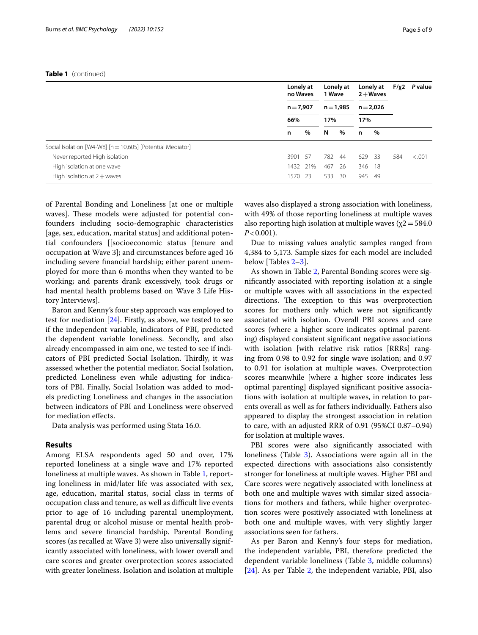|                                                            | Lonely at<br>no Waves |          |                    | Lonely at<br>1 Wave |                    | Lonely at<br>$2 + Waves$ |     | P value |
|------------------------------------------------------------|-----------------------|----------|--------------------|---------------------|--------------------|--------------------------|-----|---------|
|                                                            | $n = 7,907$<br>66%    |          | $n = 1,985$<br>17% |                     | $n = 2,026$<br>17% |                          |     |         |
|                                                            |                       |          |                    |                     |                    |                          |     |         |
|                                                            | n                     | %        | N                  | %                   | n                  | %                        |     |         |
| Social Isolation [W4-W8] [n = 10,605] [Potential Mediator] |                       |          |                    |                     |                    |                          |     |         |
| Never reported High isolation                              | 3901 57               |          | 782                | 44                  | 629 33             |                          | 584 | < .001  |
| High isolation at one wave                                 |                       | 1432 21% | 467                | 26                  | 346 18             |                          |     |         |
| High isolation at $2 +$ waves                              | 1570                  | -23      | 533                | 30                  | 945                | -49                      |     |         |

of Parental Bonding and Loneliness [at one or multiple waves]. These models were adjusted for potential confounders including socio-demographic characteristics [age, sex, education, marital status] and additional potential confounders [[socioeconomic status [tenure and occupation at Wave 3]; and circumstances before aged 16 including severe fnancial hardship; either parent unemployed for more than 6 months when they wanted to be working; and parents drank excessively, took drugs or had mental health problems based on Wave 3 Life History Interviews].

Baron and Kenny's four step approach was employed to test for mediation [[24](#page-8-23)]. Firstly, as above, we tested to see if the independent variable, indicators of PBI, predicted the dependent variable loneliness. Secondly, and also already encompassed in aim one, we tested to see if indicators of PBI predicted Social Isolation. Thirdly, it was assessed whether the potential mediator, Social Isolation, predicted Loneliness even while adjusting for indicators of PBI. Finally, Social Isolation was added to models predicting Loneliness and changes in the association between indicators of PBI and Loneliness were observed for mediation efects.

Data analysis was performed using Stata 16.0.

# **Results**

Among ELSA respondents aged 50 and over, 17% reported loneliness at a single wave and 17% reported loneliness at multiple waves. As shown in Table [1,](#page-3-0) reporting loneliness in mid/later life was associated with sex, age, education, marital status, social class in terms of occupation class and tenure, as well as difficult live events prior to age of 16 including parental unemployment, parental drug or alcohol misuse or mental health problems and severe fnancial hardship. Parental Bonding scores (as recalled at Wave 3) were also universally significantly associated with loneliness, with lower overall and care scores and greater overprotection scores associated with greater loneliness. Isolation and isolation at multiple waves also displayed a strong association with loneliness, with 49% of those reporting loneliness at multiple waves also reporting high isolation at multiple waves ( $\chi$ 2=584.0  $P < 0.001$ ).

Due to missing values analytic samples ranged from 4,384 to 5,173. Sample sizes for each model are included below [Tables [2–](#page-5-0)[3\]](#page-6-0).

As shown in Table [2,](#page-5-0) Parental Bonding scores were signifcantly associated with reporting isolation at a single or multiple waves with all associations in the expected directions. The exception to this was overprotection scores for mothers only which were not signifcantly associated with isolation. Overall PBI scores and care scores (where a higher score indicates optimal parenting) displayed consistent signifcant negative associations with isolation [with relative risk ratios [RRRs] ranging from 0.98 to 0.92 for single wave isolation; and 0.97 to 0.91 for isolation at multiple waves. Overprotection scores meanwhile [where a higher score indicates less optimal parenting] displayed signifcant positive associations with isolation at multiple waves, in relation to parents overall as well as for fathers individually. Fathers also appeared to display the strongest association in relation to care, with an adjusted RRR of 0.91 (95%CI 0.87–0.94) for isolation at multiple waves.

PBI scores were also significantly associated with loneliness (Table [3\)](#page-6-0). Associations were again all in the expected directions with associations also consistently stronger for loneliness at multiple waves. Higher PBI and Care scores were negatively associated with loneliness at both one and multiple waves with similar sized associations for mothers and fathers, while higher overprotection scores were positively associated with loneliness at both one and multiple waves, with very slightly larger associations seen for fathers.

As per Baron and Kenny's four steps for mediation, the independent variable, PBI, therefore predicted the dependent variable loneliness (Table [3,](#page-6-0) middle columns) [[24\]](#page-8-23). As per Table [2,](#page-5-0) the independent variable, PBI, also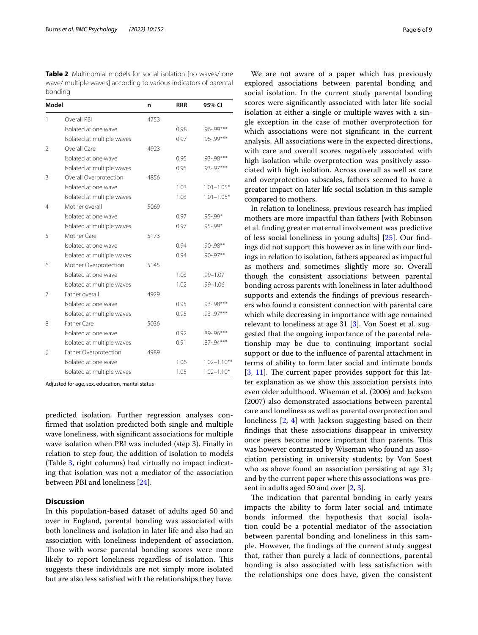<span id="page-5-0"></span>**Table 2** Multinomial models for social isolation [no waves/ one wave/ multiple waves] according to various indicators of parental bonding

| Model         |                            | n    | <b>RRR</b> | 95% CI          |
|---------------|----------------------------|------|------------|-----------------|
| 1             | Overall PBI                | 4753 |            |                 |
|               | Isolated at one wave       |      | 0.98       | .96-.99***      |
|               | Isolated at multiple waves |      | 0.97       | .96-.99***      |
| $\mathcal{P}$ | Overall Care               | 4923 |            |                 |
|               | Isolated at one wave       |      | 0.95       | .93-.98***      |
|               | Isolated at multiple waves |      | 0.95       | .93-.97***      |
| 3             | Overall Overprotection     | 4856 |            |                 |
|               | Isolated at one wave       |      | 1.03       | $1.01 - 1.05*$  |
|               | Isolated at multiple waves |      | 1.03       | $1.01 - 1.05*$  |
| 4             | Mother overall             | 5069 |            |                 |
|               | Isolated at one wave       |      | 0.97       | .95-.99*        |
|               | Isolated at multiple waves |      | 0.97       | .95-.99*        |
| 5             | Mother Care                | 5173 |            |                 |
|               | Isolated at one wave       |      | 0.94       | $.90 - .98$ **  |
|               | Isolated at multiple waves |      | 0.94       | $.90 - .97**$   |
| 6             | Mother Overprotection      | 5145 |            |                 |
|               | Isolated at one wave       |      | 1.03       | $.99 - 1.07$    |
|               | Isolated at multiple waves |      | 1.02       | $.99 - 1.06$    |
| 7             | Father overall             | 4929 |            |                 |
|               | Isolated at one wave       |      | 0.95       | .93-.98***      |
|               | Isolated at multiple waves |      | 0.95       | .93-.97***      |
| 8             | Father Care                | 5036 |            |                 |
|               | Isolated at one wave       |      | 0.92       | .89-.96***      |
|               | Isolated at multiple waves |      | 0.91       | .87-.94***      |
| 9             | Father Overprotection      | 4989 |            |                 |
|               | Isolated at one wave       |      | 1.06       | $1.02 - 1.10**$ |
|               | Isolated at multiple waves |      | 1.05       | $1.02 - 1.10*$  |

Adjusted for age, sex, education, marital status

predicted isolation. Further regression analyses confrmed that isolation predicted both single and multiple wave loneliness, with signifcant associations for multiple wave isolation when PBI was included (step 3). Finally in relation to step four, the addition of isolation to models (Table [3](#page-6-0), right columns) had virtually no impact indicating that isolation was not a mediator of the association between PBI and loneliness [[24\]](#page-8-23).

### **Discussion**

In this population-based dataset of adults aged 50 and over in England, parental bonding was associated with both loneliness and isolation in later life and also had an association with loneliness independent of association. Those with worse parental bonding scores were more likely to report loneliness regardless of isolation. This suggests these individuals are not simply more isolated but are also less satisfed with the relationships they have.

We are not aware of a paper which has previously explored associations between parental bonding and social isolation. In the current study parental bonding scores were signifcantly associated with later life social isolation at either a single or multiple waves with a single exception in the case of mother overprotection for which associations were not signifcant in the current analysis. All associations were in the expected directions, with care and overall scores negatively associated with high isolation while overprotection was positively associated with high isolation. Across overall as well as care and overprotection subscales, fathers seemed to have a greater impact on later life social isolation in this sample compared to mothers.

In relation to loneliness, previous research has implied mothers are more impactful than fathers [with Robinson et al. fnding greater maternal involvement was predictive of less social loneliness in young adults] [[25\]](#page-8-24). Our fndings did not support this however as in line with our fndings in relation to isolation, fathers appeared as impactful as mothers and sometimes slightly more so. Overall though the consistent associations between parental bonding across parents with loneliness in later adulthood supports and extends the fndings of previous researchers who found a consistent connection with parental care which while decreasing in importance with age remained relevant to loneliness at age 31 [\[3](#page-8-13)]. Von Soest et al. suggested that the ongoing importance of the parental relationship may be due to continuing important social support or due to the infuence of parental attachment in terms of ability to form later social and intimate bonds  $[3, 11]$  $[3, 11]$  $[3, 11]$  $[3, 11]$  $[3, 11]$ . The current paper provides support for this latter explanation as we show this association persists into even older adulthood. Wiseman et al. (2006) and Jackson (2007) also demonstrated associations between parental care and loneliness as well as parental overprotection and loneliness [[2,](#page-8-1) [4\]](#page-8-2) with Jackson suggesting based on their fndings that these associations disappear in university once peers become more important than parents. This was however contrasted by Wiseman who found an association persisting in university students; by Von Soest who as above found an association persisting at age 31; and by the current paper where this associations was present in adults aged 50 and over [[2,](#page-8-1) [3](#page-8-13)].

The indication that parental bonding in early years impacts the ability to form later social and intimate bonds informed the hypothesis that social isolation could be a potential mediator of the association between parental bonding and loneliness in this sample. However, the fndings of the current study suggest that, rather than purely a lack of connections, parental bonding is also associated with less satisfaction with the relationships one does have, given the consistent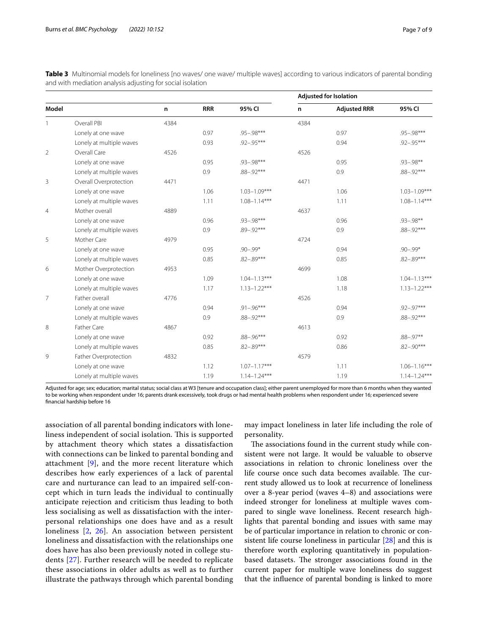<span id="page-6-0"></span>

| Table 3 Multinomial models for loneliness [no waves/ one wave/ multiple waves] according to various indicators of parental bonding |  |  |  |  |  |
|------------------------------------------------------------------------------------------------------------------------------------|--|--|--|--|--|
| and with mediation analysis adjusting for social isolation                                                                         |  |  |  |  |  |

|                |                          |      |            |                  | <b>Adjusted for Isolation</b> |                     |                  |  |  |
|----------------|--------------------------|------|------------|------------------|-------------------------------|---------------------|------------------|--|--|
| Model          |                          | n    | <b>RRR</b> | 95% CI           | n                             | <b>Adjusted RRR</b> | 95% CI           |  |  |
|                | Overall PBI              | 4384 |            |                  | 4384                          |                     |                  |  |  |
|                | Lonely at one wave       |      | 0.97       | $.95 - .98***$   |                               | 0.97                | $.95 - .98***$   |  |  |
|                | Lonely at multiple waves |      | 0.93       | $.92 - .95***$   |                               | 0.94                | $.92 - .95***$   |  |  |
| $\overline{2}$ | Overall Care             | 4526 |            |                  | 4526                          |                     |                  |  |  |
|                | Lonely at one wave       |      | 0.95       | $.93 - .98***$   |                               | 0.95                | $.93 - .98**$    |  |  |
|                | Lonely at multiple waves |      | 0.9        | $.88 - .92***$   |                               | 0.9                 | $.88 - .92***$   |  |  |
| 3              | Overall Overprotection   | 4471 |            |                  | 4471                          |                     |                  |  |  |
|                | Lonely at one wave       |      | 1.06       | $1.03 - 1.09***$ |                               | 1.06                | $1.03 - 1.09***$ |  |  |
|                | Lonely at multiple waves |      | 1.11       | $1.08 - 1.14***$ |                               | 1.11                | $1.08 - 1.14***$ |  |  |
| 4              | Mother overall           | 4889 |            |                  | 4637                          |                     |                  |  |  |
|                | Lonely at one wave       |      | 0.96       | $.93 - .98***$   |                               | 0.96                | $.93 - .98**$    |  |  |
|                | Lonely at multiple waves |      | 0.9        | $.89 - .92***$   |                               | 0.9                 | $.88 - .92***$   |  |  |
| 5              | Mother Care              | 4979 |            |                  | 4724                          |                     |                  |  |  |
|                | Lonely at one wave       |      | 0.95       | $.90 - .99*$     |                               | 0.94                | $.90 - .99*$     |  |  |
|                | Lonely at multiple waves |      | 0.85       | $.82 - .89***$   |                               | 0.85                | $.82 - .89***$   |  |  |
| 6              | Mother Overprotection    | 4953 |            |                  | 4699                          |                     |                  |  |  |
|                | Lonely at one wave       |      | 1.09       | $1.04 - 1.13***$ |                               | 1.08                | $1.04 - 1.13***$ |  |  |
|                | Lonely at multiple waves |      | 1.17       | $1.13 - 1.22***$ |                               | 1.18                | $1.13 - 1.22***$ |  |  |
| 7              | Father overall           | 4776 |            |                  | 4526                          |                     |                  |  |  |
|                | Lonely at one wave       |      | 0.94       | $.91 - .96***$   |                               | 0.94                | .92-.97***       |  |  |
|                | Lonely at multiple waves |      | 0.9        | $.88 - .92***$   |                               | 0.9                 | $.88 - .92***$   |  |  |
| 8              | Father Care              | 4867 |            |                  | 4613                          |                     |                  |  |  |
|                | Lonely at one wave       |      | 0.92       | $.88 - .96***$   |                               | 0.92                | $.88 - .97**$    |  |  |
|                | Lonely at multiple waves |      | 0.85       | $.82 - .89***$   |                               | 0.86                | $.82 - .90***$   |  |  |
| 9              | Father Overprotection    | 4832 |            |                  | 4579                          |                     |                  |  |  |
|                | Lonely at one wave       |      | 1.12       | $1.07 - 1.17***$ |                               | 1.11                | $1.06 - 1.16***$ |  |  |
|                | Lonely at multiple waves |      | 1.19       | $1.14 - 1.24***$ |                               | 1.19                | $1.14 - 1.24***$ |  |  |

Adjusted for age; sex; education; marital status; social class at W3 [tenure and occupation class]; either parent unemployed for more than 6 months when they wanted to be working when respondent under 16; parents drank excessively, took drugs or had mental health problems when respondent under 16; experienced severe fnancial hardship before 16

association of all parental bonding indicators with loneliness independent of social isolation. This is supported by attachment theory which states a dissatisfaction with connections can be linked to parental bonding and attachment [[9](#page-8-7)], and the more recent literature which describes how early experiences of a lack of parental care and nurturance can lead to an impaired self-concept which in turn leads the individual to continually anticipate rejection and criticism thus leading to both less socialising as well as dissatisfaction with the interpersonal relationships one does have and as a result loneliness [[2,](#page-8-1) [26\]](#page-8-25). An association between persistent loneliness and dissatisfaction with the relationships one does have has also been previously noted in college students [[27](#page-8-26)]. Further research will be needed to replicate these associations in older adults as well as to further illustrate the pathways through which parental bonding

may impact loneliness in later life including the role of personality.

The associations found in the current study while consistent were not large. It would be valuable to observe associations in relation to chronic loneliness over the life course once such data becomes available. The current study allowed us to look at recurrence of loneliness over a 8-year period (waves 4–8) and associations were indeed stronger for loneliness at multiple waves compared to single wave loneliness. Recent research highlights that parental bonding and issues with same may be of particular importance in relation to chronic or consistent life course loneliness in particular [\[28\]](#page-8-27) and this is therefore worth exploring quantitatively in populationbased datasets. The stronger associations found in the current paper for multiple wave loneliness do suggest that the infuence of parental bonding is linked to more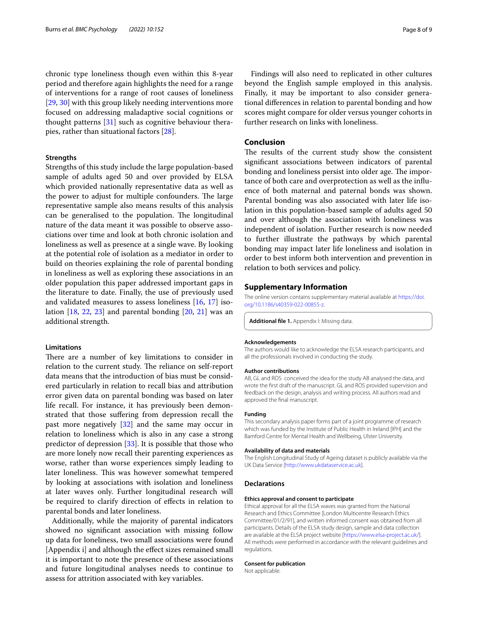chronic type loneliness though even within this 8-year period and therefore again highlights the need for a range of interventions for a range of root causes of loneliness [[29,](#page-8-28) [30](#page-8-29)] with this group likely needing interventions more focused on addressing maladaptive social cognitions or thought patterns [[31\]](#page-8-30) such as cognitive behaviour therapies, rather than situational factors [\[28](#page-8-27)].

### **Strengths**

Strengths of this study include the large population-based sample of adults aged 50 and over provided by ELSA which provided nationally representative data as well as the power to adjust for multiple confounders. The large representative sample also means results of this analysis can be generalised to the population. The longitudinal nature of the data meant it was possible to observe associations over time and look at both chronic isolation and loneliness as well as presence at a single wave. By looking at the potential role of isolation as a mediator in order to build on theories explaining the role of parental bonding in loneliness as well as exploring these associations in an older population this paper addressed important gaps in the literature to date. Finally, the use of previously used and validated measures to assess loneliness [[16](#page-8-15), [17\]](#page-8-16) isolation  $[18, 22, 23]$  $[18, 22, 23]$  $[18, 22, 23]$  $[18, 22, 23]$  $[18, 22, 23]$  $[18, 22, 23]$  $[18, 22, 23]$  and parental bonding  $[20, 21]$  $[20, 21]$  $[20, 21]$  $[20, 21]$  was an additional strength.

# **Limitations**

There are a number of key limitations to consider in relation to the current study. The reliance on self-report data means that the introduction of bias must be considered particularly in relation to recall bias and attribution error given data on parental bonding was based on later life recall. For instance, it has previously been demonstrated that those sufering from depression recall the past more negatively [[32\]](#page-8-31) and the same may occur in relation to loneliness which is also in any case a strong predictor of depression [[33\]](#page-8-32). It is possible that those who are more lonely now recall their parenting experiences as worse, rather than worse experiences simply leading to later loneliness. This was however somewhat tempered by looking at associations with isolation and loneliness at later waves only. Further longitudinal research will be required to clarify direction of efects in relation to parental bonds and later loneliness.

Additionally, while the majority of parental indicators showed no signifcant association with missing follow up data for loneliness, two small associations were found [Appendix i] and although the efect sizes remained small it is important to note the presence of these associations and future longitudinal analyses needs to continue to assess for attrition associated with key variables.

Findings will also need to replicated in other cultures beyond the English sample employed in this analysis. Finally, it may be important to also consider generational diferences in relation to parental bonding and how scores might compare for older versus younger cohorts in further research on links with loneliness.

# **Conclusion**

The results of the current study show the consistent signifcant associations between indicators of parental bonding and loneliness persist into older age. The importance of both care and overprotection as well as the infuence of both maternal and paternal bonds was shown. Parental bonding was also associated with later life isolation in this population-based sample of adults aged 50 and over although the association with loneliness was independent of isolation. Further research is now needed to further illustrate the pathways by which parental bonding may impact later life loneliness and isolation in order to best inform both intervention and prevention in relation to both services and policy.

### **Supplementary Information**

The online version contains supplementary material available at [https://doi.](https://doi.org/10.1186/s40359-022-00855-z) [org/10.1186/s40359-022-00855-z.](https://doi.org/10.1186/s40359-022-00855-z)

**Additional fle 1.** Appendix I: Missing data.

#### **Acknowledgements**

The authors would like to acknowledge the ELSA research participants, and all the professionals involved in conducting the study.

#### **Author contributions**

AB, GL and ROS conceived the idea for the study AB analysed the data, and wrote the frst draft of the manuscript. GL and ROS provided supervision and feedback on the design, analysis and writing process. All authors read and approved the fnal manuscript.

### **Funding**

This secondary analysis paper forms part of a joint programme of research which was funded by the Institute of Public Health in Ireland [IPH] and the Bamford Centre for Mental Health and Wellbeing, Ulster University.

#### **Availability of data and materials**

The English Longitudinal Study of Ageing dataset is publicly available via the UK Data Service [[http://www.ukdataservice.ac.uk\]](http://www.ukdataservice.ac.uk).

#### **Declarations**

#### **Ethics approval and consent to participate**

Ethical approval for all the ELSA waves was granted from the National Research and Ethics Committee [London Multicentre Research Ethics Committee/01/2/91], and written informed consent was obtained from all participants. Details of the ELSA study design, sample and data collection are available at the ELSA project website [<https://www.elsa-project.ac.uk/>]. All methods were performed in accordance with the relevant guidelines and regulations.

#### **Consent for publication**

Not applicable.